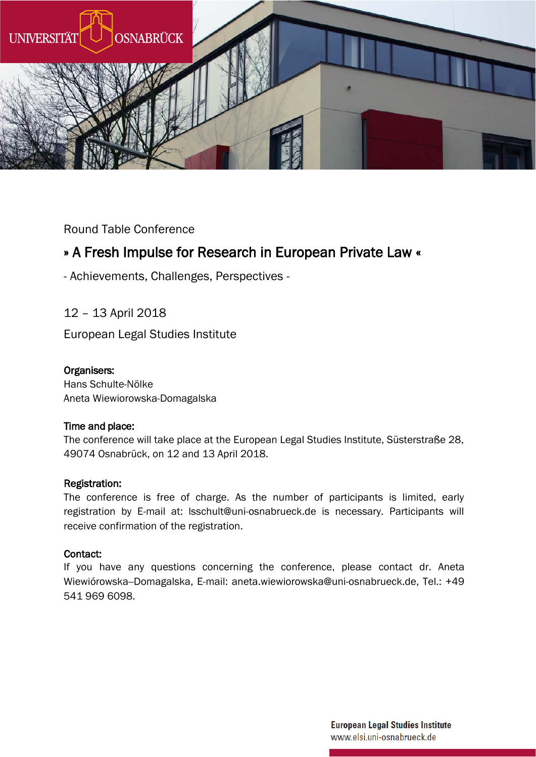

Round Table Conference

## » A Fresh Impulse for Research in European Private Law «

- Achievements, Challenges, Perspectives -

12 – 13 April 2018

European Legal Studies Institute

### Organisers:

Hans Schulte-Nölke Aneta Wiewiorowska-Domagalska

### Time and place:

The conference will take place at the European Legal Studies Institute, Süsterstraße 28, 49074 Osnabrück, on 12 and 13 April 2018.

### Registration:

The conference is free of charge. As the number of participants is limited, early registration by E-mail at: lsschult@uni-osnabrueck.de is necessary. Participants will receive confirmation of the registration.

### Contact:

If you have any questions concerning the conference, please contact dr. Aneta Wiewiórowska--Domagalska, E-mail[: aneta.wiewiorowska@uni-osnabrueck.de](mailto:aneta.wiewiorowska@uni-osnabrueck.de), Tel.: +49 541 969 6098.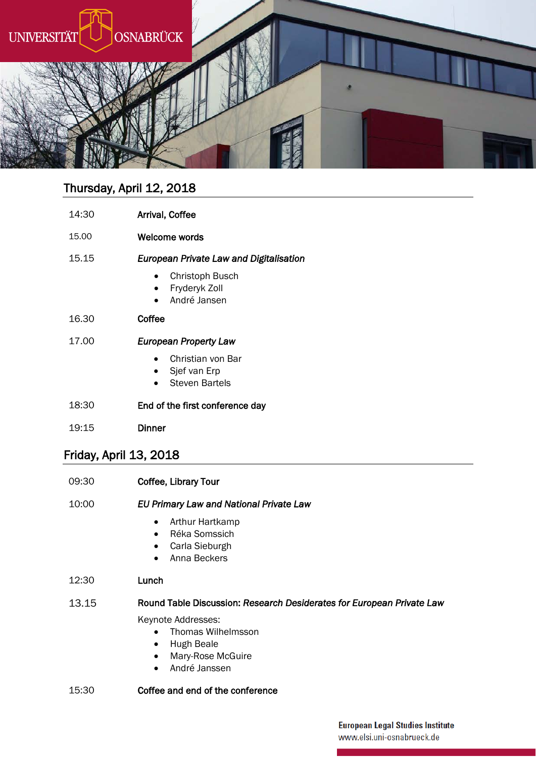

# Thursday, April 12, 2018

| 14:30 | Arrival, Coffee                                                                             |
|-------|---------------------------------------------------------------------------------------------|
| 15.00 | Welcome words                                                                               |
| 15.15 | European Private Law and Digitalisation<br>Christoph Busch<br>Fryderyk Zoll<br>André Jansen |
| 16.30 | Coffee                                                                                      |
| 17.00 | European Property Law                                                                       |
|       | Christian von Bar<br>Sjef van Erp<br>Steven Bartels                                         |
| 18:30 | End of the first conference day                                                             |

19:15 Dinner

## Friday, April 13, 2018

| 09:30 | <b>Coffee, Library Tour</b>                                                                                                         |
|-------|-------------------------------------------------------------------------------------------------------------------------------------|
| 10:00 | EU Primary Law and National Private Law                                                                                             |
|       | Arthur Hartkamp<br>$\bullet$<br>Réka Somssich<br>$\bullet$<br>Carla Sieburgh<br>$\bullet$<br>Anna Beckers<br>$\bullet$              |
| 12:30 | Lunch                                                                                                                               |
| 13.15 | Round Table Discussion: Research Desiderates for European Private Law                                                               |
|       | Keynote Addresses:<br>Thomas Wilhelmsson<br>Hugh Beale<br>$\bullet$<br>Mary-Rose McGuire<br>$\bullet$<br>André Janssen<br>$\bullet$ |
| 15:30 | Coffee and end of the conference                                                                                                    |